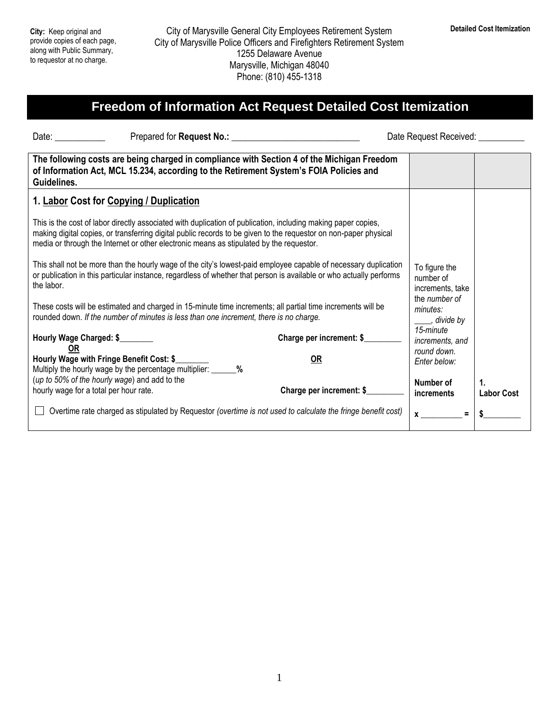## **Freedom of Information Act Request Detailed Cost Itemization**

| Date: $\frac{1}{2}$                                                                                                                                                                                                                                                                                                          |                          | Date Request Received: Date Request Received:  |                         |
|------------------------------------------------------------------------------------------------------------------------------------------------------------------------------------------------------------------------------------------------------------------------------------------------------------------------------|--------------------------|------------------------------------------------|-------------------------|
| The following costs are being charged in compliance with Section 4 of the Michigan Freedom<br>of Information Act, MCL 15.234, according to the Retirement System's FOIA Policies and<br>Guidelines.                                                                                                                          |                          |                                                |                         |
| 1. Labor Cost for Copying / Duplication                                                                                                                                                                                                                                                                                      |                          |                                                |                         |
| This is the cost of labor directly associated with duplication of publication, including making paper copies,<br>making digital copies, or transferring digital public records to be given to the requestor on non-paper physical<br>media or through the Internet or other electronic means as stipulated by the requestor. |                          |                                                |                         |
| This shall not be more than the hourly wage of the city's lowest-paid employee capable of necessary duplication<br>or publication in this particular instance, regardless of whether that person is available or who actually performs<br>the labor.                                                                         |                          | To figure the<br>number of<br>increments, take |                         |
| These costs will be estimated and charged in 15-minute time increments; all partial time increments will be<br>rounded down. If the number of minutes is less than one increment, there is no charge.                                                                                                                        |                          | the number of<br>minutes:<br>____, divide by   |                         |
| Hourly Wage Charged: \$<br>0R                                                                                                                                                                                                                                                                                                | Charge per increment: \$ | 15-minute<br>increments, and                   |                         |
| Hourly Wage with Fringe Benefit Cost: \$<br>Multiply the hourly wage by the percentage multiplier: _______%                                                                                                                                                                                                                  | <b>OR</b>                | round down.<br>Enter below:                    |                         |
| (up to 50% of the hourly wage) and add to the<br>hourly wage for a total per hour rate.                                                                                                                                                                                                                                      | Charge per increment: \$ | Number of<br><i>increments</i>                 | 1.<br><b>Labor Cost</b> |
| Overtime rate charged as stipulated by Requestor (overtime is not used to calculate the fringe benefit cost)                                                                                                                                                                                                                 |                          | $x \sim$                                       |                         |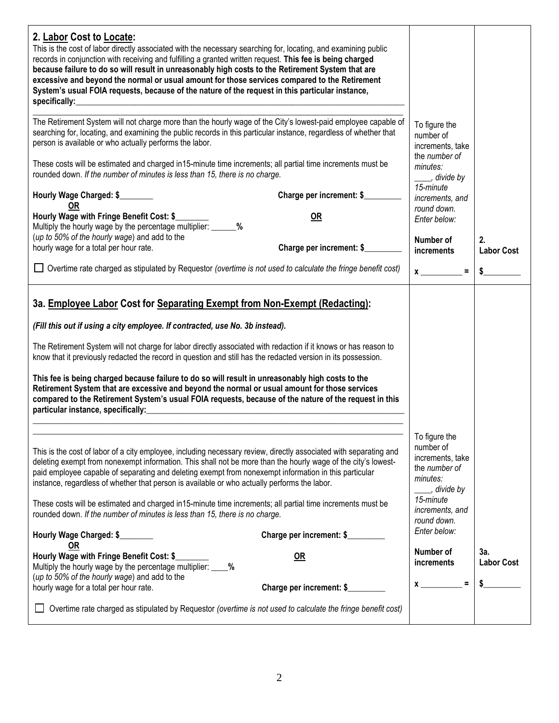| 2. Labor Cost to Locate:<br>This is the cost of labor directly associated with the necessary searching for, locating, and examining public<br>records in conjunction with receiving and fulfilling a granted written request. This fee is being charged<br>because failure to do so will result in unreasonably high costs to the Retirement System that are<br>excessive and beyond the normal or usual amount for those services compared to the Retirement<br>System's usual FOIA requests, because of the nature of the request in this particular instance,<br>specifically:<br>The Retirement System will not charge more than the hourly wage of the City's lowest-paid employee capable of<br>searching for, locating, and examining the public records in this particular instance, regardless of whether that<br>person is available or who actually performs the labor.<br>These costs will be estimated and charged in 15-minute time increments; all partial time increments must be<br>rounded down. If the number of minutes is less than 15, there is no charge.<br>Hourly Wage Charged: \$<br>OR<br>Hourly Wage with Fringe Benefit Cost: \$ | Charge per increment: \$<br><b>OR</b> | To figure the<br>number of<br>increments, take<br>the number of<br>minutes:<br>stride by the divide by<br>15-minute<br>increments, and<br>round down.<br>Enter below: |                          |
|---------------------------------------------------------------------------------------------------------------------------------------------------------------------------------------------------------------------------------------------------------------------------------------------------------------------------------------------------------------------------------------------------------------------------------------------------------------------------------------------------------------------------------------------------------------------------------------------------------------------------------------------------------------------------------------------------------------------------------------------------------------------------------------------------------------------------------------------------------------------------------------------------------------------------------------------------------------------------------------------------------------------------------------------------------------------------------------------------------------------------------------------------------------|---------------------------------------|-----------------------------------------------------------------------------------------------------------------------------------------------------------------------|--------------------------|
| Multiply the hourly wage by the percentage multiplier: ______%<br>(up to 50% of the hourly wage) and add to the                                                                                                                                                                                                                                                                                                                                                                                                                                                                                                                                                                                                                                                                                                                                                                                                                                                                                                                                                                                                                                               |                                       | Number of                                                                                                                                                             | 2.                       |
| hourly wage for a total per hour rate.<br>Overtime rate charged as stipulated by Requestor (overtime is not used to calculate the fringe benefit cost)                                                                                                                                                                                                                                                                                                                                                                                                                                                                                                                                                                                                                                                                                                                                                                                                                                                                                                                                                                                                        | Charge per increment: \$              | increments<br>$x \overline{\phantom{a}}$<br>$\equiv$ .                                                                                                                | <b>Labor Cost</b><br>\$  |
| 3a. Employee Labor Cost for Separating Exempt from Non-Exempt (Redacting):<br>(Fill this out if using a city employee. If contracted, use No. 3b instead).<br>The Retirement System will not charge for labor directly associated with redaction if it knows or has reason to<br>know that it previously redacted the record in question and still has the redacted version in its possession.<br>This fee is being charged because failure to do so will result in unreasonably high costs to the<br>Retirement System that are excessive and beyond the normal or usual amount for those services<br>compared to the Retirement System's usual FOIA requests, because of the nature of the request in this<br>particular instance, specifically:                                                                                                                                                                                                                                                                                                                                                                                                            |                                       |                                                                                                                                                                       |                          |
| This is the cost of labor of a city employee, including necessary review, directly associated with separating and<br>deleting exempt from nonexempt information. This shall not be more than the hourly wage of the city's lowest-<br>paid employee capable of separating and deleting exempt from nonexempt information in this particular<br>instance, regardless of whether that person is available or who actually performs the labor.<br>These costs will be estimated and charged in 15-minute time increments; all partial time increments must be<br>rounded down. If the number of minutes is less than 15, there is no charge.                                                                                                                                                                                                                                                                                                                                                                                                                                                                                                                     |                                       | To figure the<br>number of<br>increments, take<br>the number of<br>minutes:<br>, divide by<br>15-minute<br>increments, and<br>round down.                             |                          |
| Hourly Wage Charged: \$<br><b>OR</b>                                                                                                                                                                                                                                                                                                                                                                                                                                                                                                                                                                                                                                                                                                                                                                                                                                                                                                                                                                                                                                                                                                                          | Charge per increment: \$              | Enter below:                                                                                                                                                          |                          |
| Hourly Wage with Fringe Benefit Cost: \$<br>Multiply the hourly wage by the percentage multiplier: ____ %<br>(up to 50% of the hourly wage) and add to the<br>hourly wage for a total per hour rate.                                                                                                                                                                                                                                                                                                                                                                                                                                                                                                                                                                                                                                                                                                                                                                                                                                                                                                                                                          | OR<br>Charge per increment: \$        | Number of<br>increments<br>$\equiv$<br>$x \overline{\phantom{a}}$                                                                                                     | 3a.<br><b>Labor Cost</b> |
| Overtime rate charged as stipulated by Requestor (overtime is not used to calculate the fringe benefit cost)                                                                                                                                                                                                                                                                                                                                                                                                                                                                                                                                                                                                                                                                                                                                                                                                                                                                                                                                                                                                                                                  |                                       |                                                                                                                                                                       |                          |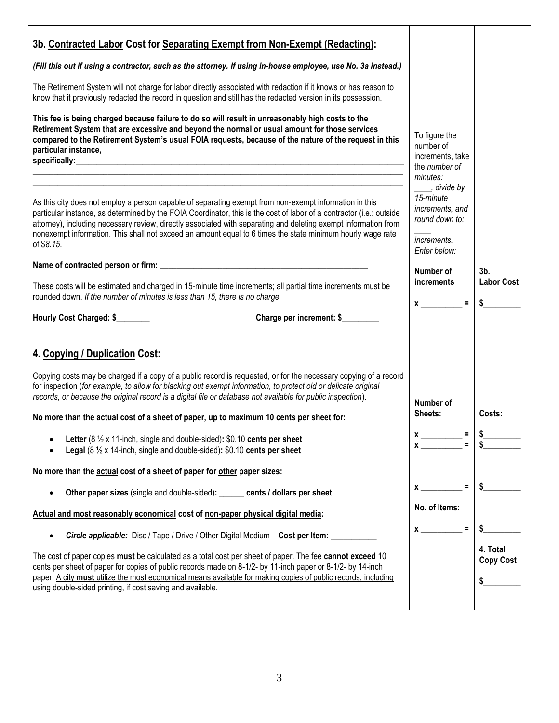| 3b. Contracted Labor Cost for Separating Exempt from Non-Exempt (Redacting):<br>(Fill this out if using a contractor, such as the attorney. If using in-house employee, use No. 3a instead.)<br>The Retirement System will not charge for labor directly associated with redaction if it knows or has reason to<br>know that it previously redacted the record in question and still has the redacted version in its possession.<br>This fee is being charged because failure to do so will result in unreasonably high costs to the<br>Retirement System that are excessive and beyond the normal or usual amount for those services<br>compared to the Retirement System's usual FOIA requests, because of the nature of the request in this<br>particular instance,                                                                                                                                                                                                                                                                                                                                                                                                                                                                                                                                                                                                                                                                         | To figure the<br>number of<br>increments, take<br>the number of                                                                                                                                                                                                                                                                                                                                                      |                                                    |
|------------------------------------------------------------------------------------------------------------------------------------------------------------------------------------------------------------------------------------------------------------------------------------------------------------------------------------------------------------------------------------------------------------------------------------------------------------------------------------------------------------------------------------------------------------------------------------------------------------------------------------------------------------------------------------------------------------------------------------------------------------------------------------------------------------------------------------------------------------------------------------------------------------------------------------------------------------------------------------------------------------------------------------------------------------------------------------------------------------------------------------------------------------------------------------------------------------------------------------------------------------------------------------------------------------------------------------------------------------------------------------------------------------------------------------------------|----------------------------------------------------------------------------------------------------------------------------------------------------------------------------------------------------------------------------------------------------------------------------------------------------------------------------------------------------------------------------------------------------------------------|----------------------------------------------------|
| As this city does not employ a person capable of separating exempt from non-exempt information in this<br>particular instance, as determined by the FOIA Coordinator, this is the cost of labor of a contractor (i.e.: outside<br>attorney), including necessary review, directly associated with separating and deleting exempt information from<br>nonexempt information. This shall not exceed an amount equal to 6 times the state minimum hourly wage rate<br>of \$8.15.<br>These costs will be estimated and charged in 15-minute time increments; all partial time increments must be<br>rounded down. If the number of minutes is less than 15, there is no charge.<br>Hourly Cost Charged: \$<br>Charge per increment: \$                                                                                                                                                                                                                                                                                                                                                                                                                                                                                                                                                                                                                                                                                                             | minutes:<br>____, divide by<br>15-minute<br>increments, and<br>round down to:<br>increments.<br>Enter below:<br>Number of<br>increments<br>$x \sim$ =                                                                                                                                                                                                                                                                | 3 <sub>b</sub><br><b>Labor Cost</b><br>\$          |
| 4. Copying / Duplication Cost:<br>Copying costs may be charged if a copy of a public record is requested, or for the necessary copying of a record<br>for inspection (for example, to allow for blacking out exempt information, to protect old or delicate original<br>records, or because the original record is a digital file or database not available for public inspection).<br>No more than the actual cost of a sheet of paper, up to maximum 10 cents per sheet for:<br>Letter (8 $\frac{1}{2}$ x 11-inch, single and double-sided): \$0.10 cents per sheet<br><b>Legal</b> ( $8\frac{1}{2}$ x 14-inch, single and double-sided): \$0.10 cents per sheet<br>No more than the actual cost of a sheet of paper for other paper sizes:<br>Other paper sizes (single and double-sided): ______ cents / dollars per sheet<br>$\bullet$<br>Actual and most reasonably economical cost of non-paper physical digital media:<br>Circle applicable: Disc / Tape / Drive / Other Digital Medium Cost per Item: _________<br>$\bullet$<br>The cost of paper copies must be calculated as a total cost per sheet of paper. The fee cannot exceed 10<br>cents per sheet of paper for copies of public records made on 8-1/2- by 11-inch paper or 8-1/2- by 14-inch<br>paper. A city must utilize the most economical means available for making copies of public records, including<br>using double-sided printing, if cost saving and available. | Number of<br>Sheets:<br>$x \overline{ )} =$<br>$=$<br>$\mathbf x$ and $\mathbf x$ and $\mathbf x$ and $\mathbf x$ and $\mathbf x$ and $\mathbf x$ and $\mathbf x$ and $\mathbf x$ and $\mathbf x$ and $\mathbf x$ and $\mathbf x$ and $\mathbf x$ and $\mathbf x$ and $\mathbf x$ and $\mathbf x$ and $\mathbf x$ and $\mathbf x$ and $\mathbf x$ and $\mathbf x$ and $\mathbf x$ and<br>No. of Items:<br>$x \sim$ = | Costs:<br>S.<br>\$<br>4. Total<br><b>Copy Cost</b> |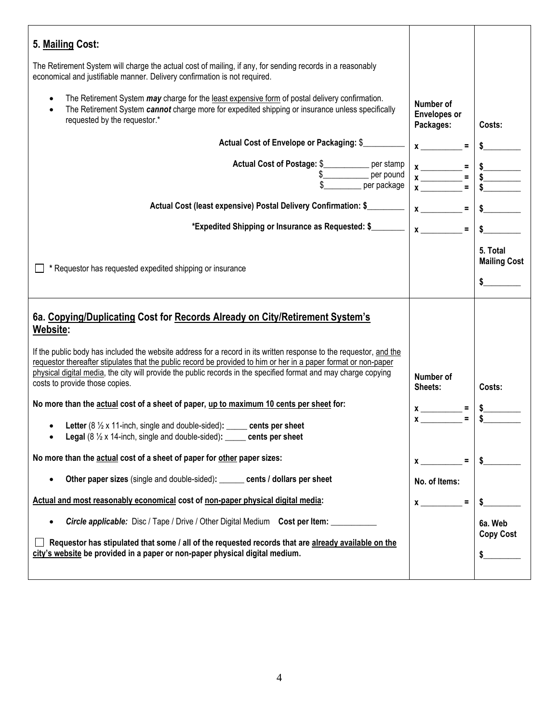| 5. Mailing Cost:                                                                                                                                                                                                                                                                                                                                                                           |                                               |                                           |
|--------------------------------------------------------------------------------------------------------------------------------------------------------------------------------------------------------------------------------------------------------------------------------------------------------------------------------------------------------------------------------------------|-----------------------------------------------|-------------------------------------------|
| The Retirement System will charge the actual cost of mailing, if any, for sending records in a reasonably<br>economical and justifiable manner. Delivery confirmation is not required.                                                                                                                                                                                                     |                                               |                                           |
| The Retirement System <i>may</i> charge for the least expensive form of postal delivery confirmation.<br>$\bullet$<br>The Retirement System cannot charge more for expedited shipping or insurance unless specifically<br>$\bullet$<br>requested by the requestor.*                                                                                                                        | Number of<br><b>Envelopes or</b><br>Packages: | Costs:                                    |
| Actual Cost of Envelope or Packaging: \$                                                                                                                                                                                                                                                                                                                                                   | $x \sim$                                      |                                           |
| Actual Cost of Postage: \$<br>$$$ per pound                                                                                                                                                                                                                                                                                                                                                |                                               |                                           |
| Actual Cost (least expensive) Postal Delivery Confirmation: \$                                                                                                                                                                                                                                                                                                                             | $x \overline{\phantom{a}} =$                  | $\frac{1}{2}$                             |
| *Expedited Shipping or Insurance as Requested: \$                                                                                                                                                                                                                                                                                                                                          | $x \overline{\phantom{a}}$<br>$\equiv$        | $\mathsf{s}$                              |
| * Requestor has requested expedited shipping or insurance                                                                                                                                                                                                                                                                                                                                  |                                               | 5. Total<br><b>Mailing Cost</b><br>$\sim$ |
| 6a. Copying/Duplicating Cost for Records Already on City/Retirement System's<br>Website:                                                                                                                                                                                                                                                                                                   |                                               |                                           |
| If the public body has included the website address for a record in its written response to the requestor, and the<br>requestor thereafter stipulates that the public record be provided to him or her in a paper format or non-paper<br>physical digital media, the city will provide the public records in the specified format and may charge copying<br>costs to provide those copies. | Number of<br>Sheets:                          | Costs:                                    |
| No more than the actual cost of a sheet of paper, up to maximum 10 cents per sheet for:                                                                                                                                                                                                                                                                                                    |                                               |                                           |
| Letter (8 1/2 x 11-inch, single and double-sided): _____ cents per sheet<br>Legal (8 1/2 x 14-inch, single and double-sided): _____ cents per sheet                                                                                                                                                                                                                                        | $x \overline{\phantom{a}}$ =<br>$x_{\_\_\_\}$ |                                           |
| No more than the actual cost of a sheet of paper for other paper sizes:                                                                                                                                                                                                                                                                                                                    |                                               | $=$<br>S.                                 |
| Other paper sizes (single and double-sided): ______ cents / dollars per sheet<br>$\bullet$                                                                                                                                                                                                                                                                                                 | No. of Items:                                 |                                           |
| Actual and most reasonably economical cost of non-paper physical digital media:                                                                                                                                                                                                                                                                                                            | $\equiv$<br>$\mathbf x$                       | \$                                        |
| <b>Circle applicable:</b> Disc / Tape / Drive / Other Digital Medium Cost per Item: ________<br>$\bullet$                                                                                                                                                                                                                                                                                  |                                               | 6a. Web                                   |
| Requestor has stipulated that some / all of the requested records that are already available on the<br>city's website be provided in a paper or non-paper physical digital medium.                                                                                                                                                                                                         |                                               | <b>Copy Cost</b><br>\$                    |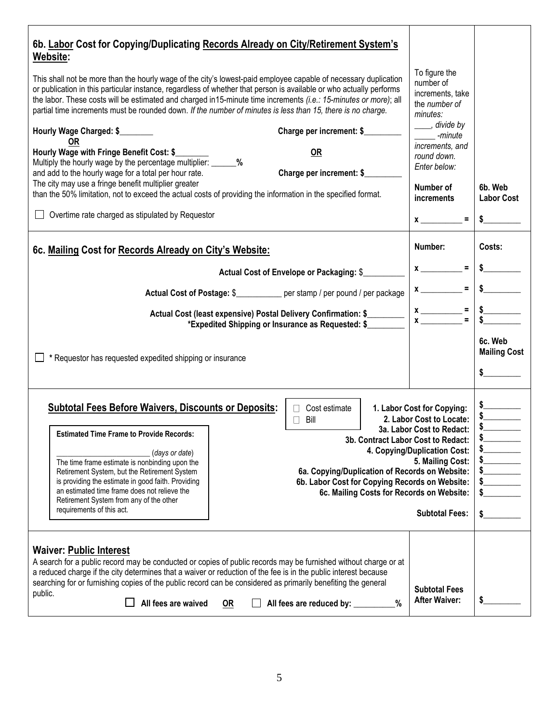| 6b. Labor Cost for Copying/Duplicating Records Already on City/Retirement System's<br>Website:<br>This shall not be more than the hourly wage of the city's lowest-paid employee capable of necessary duplication<br>or publication in this particular instance, regardless of whether that person is available or who actually performs<br>the labor. These costs will be estimated and charged in15-minute time increments (i.e.: 15-minutes or more); all<br>partial time increments must be rounded down. If the number of minutes is less than 15, there is no charge.<br>Hourly Wage Charged: \$<br>Charge per increment: \$<br><b>OR</b><br>OR<br>Hourly Wage with Fringe Benefit Cost: \$<br>Multiply the hourly wage by the percentage multiplier: _______%<br>Charge per increment: \$<br>and add to the hourly wage for a total per hour rate.<br>The city may use a fringe benefit multiplier greater<br>than the 50% limitation, not to exceed the actual costs of providing the information in the specified format.<br>$\Box$ Overtime rate charged as stipulated by Requestor<br>6c. Mailing Cost for Records Already on City's Website:<br>Actual Cost of Envelope or Packaging: \$<br>Actual Cost of Postage: \$____________ per stamp / per pound / per package<br>Actual Cost (least expensive) Postal Delivery Confirmation: \$<br>*Expedited Shipping or Insurance as Requested: \$<br>* Requestor has requested expedited shipping or insurance | To figure the<br>number of<br>increments, take<br>the number of<br>minutes:<br>____, divide by<br>-minute<br>increments, and<br>round down.<br>Enter below:<br>Number of<br><i>increments</i><br>$x \overline{\phantom{a}} =$<br>Number:<br>$x \overline{\phantom{a}} =$<br>$x \overline{\phantom{a}}$<br>$x \overline{ )} =$ | 6b. Web<br><b>Labor Cost</b><br>Costs:<br>$\frac{1}{2}$<br>$=$ $\frac{1}{2}$<br>6c. Web<br><b>Mailing Cost</b>                                                                                                                                                                                                                                                                                                                      |
|------------------------------------------------------------------------------------------------------------------------------------------------------------------------------------------------------------------------------------------------------------------------------------------------------------------------------------------------------------------------------------------------------------------------------------------------------------------------------------------------------------------------------------------------------------------------------------------------------------------------------------------------------------------------------------------------------------------------------------------------------------------------------------------------------------------------------------------------------------------------------------------------------------------------------------------------------------------------------------------------------------------------------------------------------------------------------------------------------------------------------------------------------------------------------------------------------------------------------------------------------------------------------------------------------------------------------------------------------------------------------------------------------------------------------------------------------------------------|-------------------------------------------------------------------------------------------------------------------------------------------------------------------------------------------------------------------------------------------------------------------------------------------------------------------------------|-------------------------------------------------------------------------------------------------------------------------------------------------------------------------------------------------------------------------------------------------------------------------------------------------------------------------------------------------------------------------------------------------------------------------------------|
| <b>Subtotal Fees Before Waivers, Discounts or Deposits:</b><br>Cost estimate<br>$\Box$<br>Bill<br>$\Box$<br><b>Estimated Time Frame to Provide Records:</b><br>3b. Contract Labor Cost to Redact:<br>(days or date)<br>The time frame estimate is nonbinding upon the<br>Retirement System, but the Retirement System<br>6a. Copying/Duplication of Records on Website:<br>is providing the estimate in good faith. Providing<br>6b. Labor Cost for Copying Records on Website:<br>an estimated time frame does not relieve the<br>6c. Mailing Costs for Records on Website:<br>Retirement System from any of the other<br>requirements of this act.                                                                                                                                                                                                                                                                                                                                                                                                                                                                                                                                                                                                                                                                                                                                                                                                                   | 1. Labor Cost for Copying:<br>2. Labor Cost to Locate:<br>3a. Labor Cost to Redact:<br>4. Copying/Duplication Cost:<br>5. Mailing Cost:<br><b>Subtotal Fees:</b>                                                                                                                                                              | $\begin{array}{c c}\n\hline\n\text{1} & \text{2} & \text{3} & \text{4} \\ \hline\n\text{2} & \text{4} & \text{5} & \text{6} \\ \hline\n\text{3} & \text{6} & \text{6} & \text{6} \\ \hline\n\text{4} & \text{5} & \text{6} & \text{6} \\ \hline\n\text{5} & \text{6} & \text{6} & \text{6} \\ \hline\n\text{6} & \text{6} & \text{6} & \text{6} \\ \hline\n\text{7} & \text{7} & \text{8} & \text{6} & \text{6} \\ \hline\n\text{8$ |
| <b>Waiver: Public Interest</b><br>A search for a public record may be conducted or copies of public records may be furnished without charge or at<br>a reduced charge if the city determines that a waiver or reduction of the fee is in the public interest because<br>searching for or furnishing copies of the public record can be considered as primarily benefiting the general<br>public.<br>All fees are waived<br>%<br>All fees are reduced by: ________<br>OR                                                                                                                                                                                                                                                                                                                                                                                                                                                                                                                                                                                                                                                                                                                                                                                                                                                                                                                                                                                                | <b>Subtotal Fees</b><br><b>After Waiver:</b>                                                                                                                                                                                                                                                                                  | \$                                                                                                                                                                                                                                                                                                                                                                                                                                  |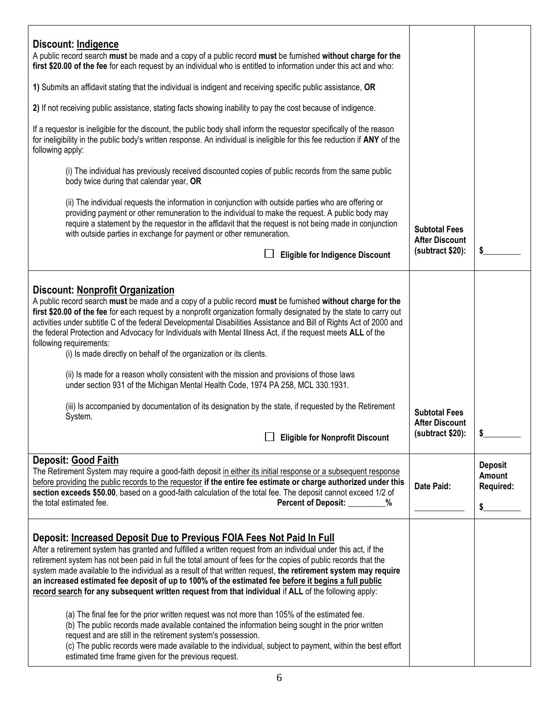| Discount: Indigence<br>A public record search must be made and a copy of a public record must be furnished without charge for the<br>first \$20.00 of the fee for each request by an individual who is entitled to information under this act and who:                                                                                                                                                                                                                                                                                                                                                                                                                                                                                                                                                                                                                                                                                                                                                                                                                                |                                                                   |                                             |
|---------------------------------------------------------------------------------------------------------------------------------------------------------------------------------------------------------------------------------------------------------------------------------------------------------------------------------------------------------------------------------------------------------------------------------------------------------------------------------------------------------------------------------------------------------------------------------------------------------------------------------------------------------------------------------------------------------------------------------------------------------------------------------------------------------------------------------------------------------------------------------------------------------------------------------------------------------------------------------------------------------------------------------------------------------------------------------------|-------------------------------------------------------------------|---------------------------------------------|
| 1) Submits an affidavit stating that the individual is indigent and receiving specific public assistance, OR                                                                                                                                                                                                                                                                                                                                                                                                                                                                                                                                                                                                                                                                                                                                                                                                                                                                                                                                                                          |                                                                   |                                             |
| 2) If not receiving public assistance, stating facts showing inability to pay the cost because of indigence.                                                                                                                                                                                                                                                                                                                                                                                                                                                                                                                                                                                                                                                                                                                                                                                                                                                                                                                                                                          |                                                                   |                                             |
| If a requestor is ineligible for the discount, the public body shall inform the requestor specifically of the reason<br>for ineligibility in the public body's written response. An individual is ineligible for this fee reduction if ANY of the<br>following apply:                                                                                                                                                                                                                                                                                                                                                                                                                                                                                                                                                                                                                                                                                                                                                                                                                 |                                                                   |                                             |
| (i) The individual has previously received discounted copies of public records from the same public<br>body twice during that calendar year, OR                                                                                                                                                                                                                                                                                                                                                                                                                                                                                                                                                                                                                                                                                                                                                                                                                                                                                                                                       |                                                                   |                                             |
| (ii) The individual requests the information in conjunction with outside parties who are offering or<br>providing payment or other remuneration to the individual to make the request. A public body may<br>require a statement by the requestor in the affidavit that the request is not being made in conjunction<br>with outside parties in exchange for payment or other remuneration.                                                                                                                                                                                                                                                                                                                                                                                                                                                                                                                                                                                                                                                                                            | <b>Subtotal Fees</b><br><b>After Discount</b><br>(subtract \$20): | \$                                          |
| <b>Eligible for Indigence Discount</b>                                                                                                                                                                                                                                                                                                                                                                                                                                                                                                                                                                                                                                                                                                                                                                                                                                                                                                                                                                                                                                                |                                                                   |                                             |
| <b>Discount: Nonprofit Organization</b><br>A public record search must be made and a copy of a public record must be furnished without charge for the<br>first \$20.00 of the fee for each request by a nonprofit organization formally designated by the state to carry out<br>activities under subtitle C of the federal Developmental Disabilities Assistance and Bill of Rights Act of 2000 and<br>the federal Protection and Advocacy for Individuals with Mental Illness Act, if the request meets ALL of the<br>following requirements:<br>(i) Is made directly on behalf of the organization or its clients.<br>(ii) Is made for a reason wholly consistent with the mission and provisions of those laws<br>under section 931 of the Michigan Mental Health Code, 1974 PA 258, MCL 330.1931.<br>(iii) Is accompanied by documentation of its designation by the state, if requested by the Retirement<br>System.<br>$\Box$<br><b>Eligible for Nonprofit Discount</b>                                                                                                         | <b>Subtotal Fees</b><br><b>After Discount</b><br>(subtract \$20): |                                             |
| Deposit: Good Faith<br>The Retirement System may require a good-faith deposit in either its initial response or a subsequent response<br>before providing the public records to the requestor if the entire fee estimate or charge authorized under this<br>section exceeds \$50.00, based on a good-faith calculation of the total fee. The deposit cannot exceed 1/2 of<br>the total estimated fee.<br>Percent of Deposit: _______<br>%                                                                                                                                                                                                                                                                                                                                                                                                                                                                                                                                                                                                                                             | Date Paid:                                                        | <b>Deposit</b><br>Amount<br>Required:<br>\$ |
| Deposit: Increased Deposit Due to Previous FOIA Fees Not Paid In Full<br>After a retirement system has granted and fulfilled a written request from an individual under this act, if the<br>retirement system has not been paid in full the total amount of fees for the copies of public records that the<br>system made available to the individual as a result of that written request, the retirement system may require<br>an increased estimated fee deposit of up to 100% of the estimated fee before it begins a full public<br>record search for any subsequent written request from that individual if ALL of the following apply:<br>(a) The final fee for the prior written request was not more than 105% of the estimated fee.<br>(b) The public records made available contained the information being sought in the prior written<br>request and are still in the retirement system's possession.<br>(c) The public records were made available to the individual, subject to payment, within the best effort<br>estimated time frame given for the previous request. |                                                                   |                                             |